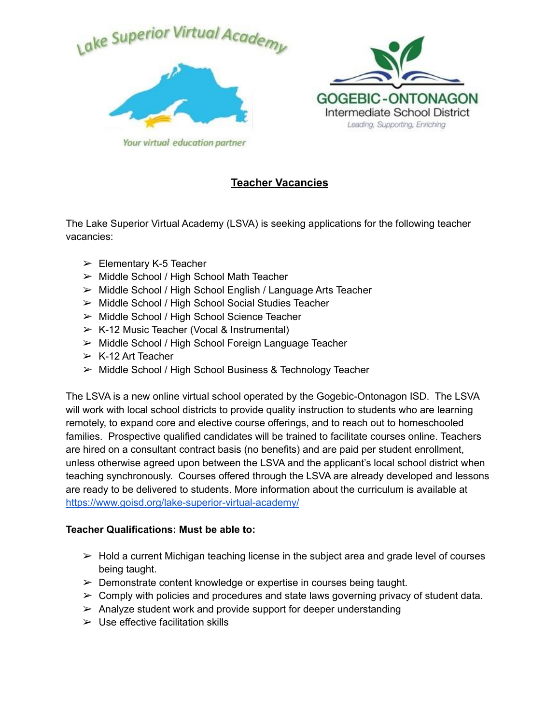



Your virtual education partner

# **Teacher Vacancies**

The Lake Superior Virtual Academy (LSVA) is seeking applications for the following teacher vacancies:

- $\geq$  Elementary K-5 Teacher
- ➢ Middle School / High School Math Teacher
- ➢ Middle School / High School English / Language Arts Teacher
- ➢ Middle School / High School Social Studies Teacher
- ➢ Middle School / High School Science Teacher
- $\triangleright$  K-12 Music Teacher (Vocal & Instrumental)
- ➢ Middle School / High School Foreign Language Teacher
- $\triangleright$  K-12 Art Teacher
- ➢ Middle School / High School Business & Technology Teacher

The LSVA is a new online virtual school operated by the Gogebic-Ontonagon ISD. The LSVA will work with local school districts to provide quality instruction to students who are learning remotely, to expand core and elective course offerings, and to reach out to homeschooled families. Prospective qualified candidates will be trained to facilitate courses online. Teachers are hired on a consultant contract basis (no benefits) and are paid per student enrollment, unless otherwise agreed upon between the LSVA and the applicant's local school district when teaching synchronously. Courses offered through the LSVA are already developed and lessons are ready to be delivered to students. More information about the curriculum is available at <https://www.goisd.org/lake-superior-virtual-academy/>

# **Teacher Qualifications: Must be able to:**

- $\triangleright$  Hold a current Michigan teaching license in the subject area and grade level of courses being taught.
- $\triangleright$  Demonstrate content knowledge or expertise in courses being taught.
- $\triangleright$  Comply with policies and procedures and state laws governing privacy of student data.
- $\triangleright$  Analyze student work and provide support for deeper understanding
- $\triangleright$  Use effective facilitation skills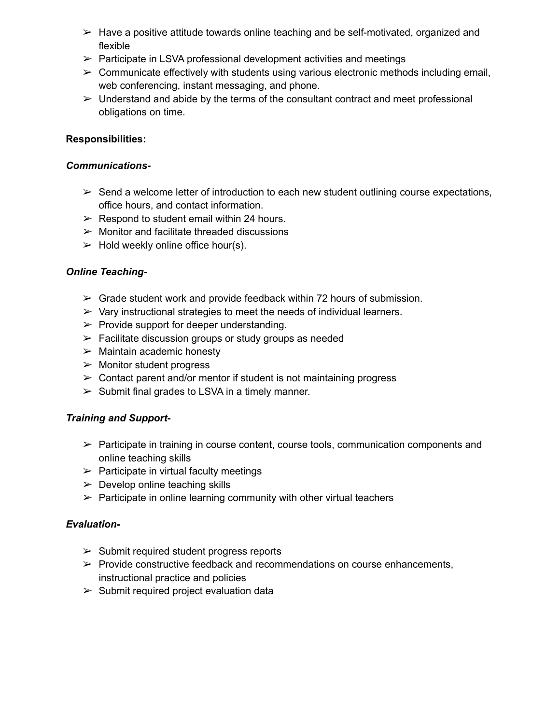- $\triangleright$  Have a positive attitude towards online teaching and be self-motivated, organized and flexible
- $\triangleright$  Participate in LSVA professional development activities and meetings
- $\triangleright$  Communicate effectively with students using various electronic methods including email, web conferencing, instant messaging, and phone.
- $\triangleright$  Understand and abide by the terms of the consultant contract and meet professional obligations on time.

# **Responsibilities:**

### *Communications-*

- $\triangleright$  Send a welcome letter of introduction to each new student outlining course expectations, office hours, and contact information.
- $\triangleright$  Respond to student email within 24 hours.
- $\triangleright$  Monitor and facilitate threaded discussions
- $\triangleright$  Hold weekly online office hour(s).

# *Online Teaching-*

- $\triangleright$  Grade student work and provide feedback within 72 hours of submission.
- $\triangleright$  Vary instructional strategies to meet the needs of individual learners.
- $\triangleright$  Provide support for deeper understanding.
- $\triangleright$  Facilitate discussion groups or study groups as needed
- $\triangleright$  Maintain academic honesty
- $\triangleright$  Monitor student progress
- $\geq$  Contact parent and/or mentor if student is not maintaining progress
- $\triangleright$  Submit final grades to LSVA in a timely manner.

# *Training and Support-*

- $\triangleright$  Participate in training in course content, course tools, communication components and online teaching skills
- $\triangleright$  Participate in virtual faculty meetings
- $\triangleright$  Develop online teaching skills
- $\triangleright$  Participate in online learning community with other virtual teachers

### *Evaluation-*

- $\geq$  Submit required student progress reports
- $\triangleright$  Provide constructive feedback and recommendations on course enhancements, instructional practice and policies
- $\triangleright$  Submit required project evaluation data